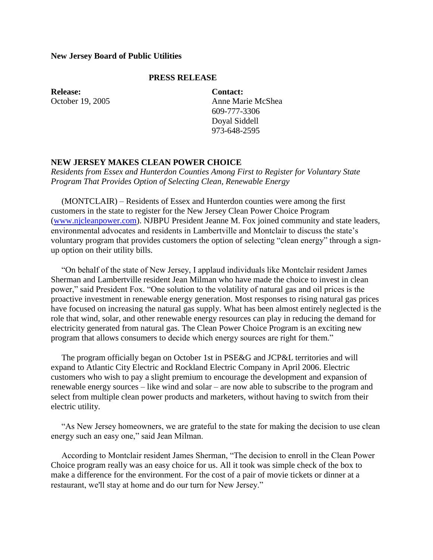## **New Jersey Board of Public Utilities**

## **PRESS RELEASE**

**Release:** October 19, 2005 **Contact:** Anne Marie McShea 609-777-3306 Doyal Siddell 973-648-2595

## **NEW JERSEY MAKES CLEAN POWER CHOICE**

*Residents from Essex and Hunterdon Counties Among First to Register for Voluntary State Program That Provides Option of Selecting Clean, Renewable Energy*

 (MONTCLAIR) – Residents of Essex and Hunterdon counties were among the first customers in the state to register for the New Jersey Clean Power Choice Program [\(www.njcleanpower.com\)](http://www.njcleanpower.com/). NJBPU President Jeanne M. Fox joined community and state leaders, environmental advocates and residents in Lambertville and Montclair to discuss the state's voluntary program that provides customers the option of selecting "clean energy" through a signup option on their utility bills.

 "On behalf of the state of New Jersey, I applaud individuals like Montclair resident James Sherman and Lambertville resident Jean Milman who have made the choice to invest in clean power," said President Fox. "One solution to the volatility of natural gas and oil prices is the proactive investment in renewable energy generation. Most responses to rising natural gas prices have focused on increasing the natural gas supply. What has been almost entirely neglected is the role that wind, solar, and other renewable energy resources can play in reducing the demand for electricity generated from natural gas. The Clean Power Choice Program is an exciting new program that allows consumers to decide which energy sources are right for them."

 The program officially began on October 1st in PSE&G and JCP&L territories and will expand to Atlantic City Electric and Rockland Electric Company in April 2006. Electric customers who wish to pay a slight premium to encourage the development and expansion of renewable energy sources – like wind and solar – are now able to subscribe to the program and select from multiple clean power products and marketers, without having to switch from their electric utility.

 "As New Jersey homeowners, we are grateful to the state for making the decision to use clean energy such an easy one," said Jean Milman.

 According to Montclair resident James Sherman, "The decision to enroll in the Clean Power Choice program really was an easy choice for us. All it took was simple check of the box to make a difference for the environment. For the cost of a pair of movie tickets or dinner at a restaurant, we'll stay at home and do our turn for New Jersey."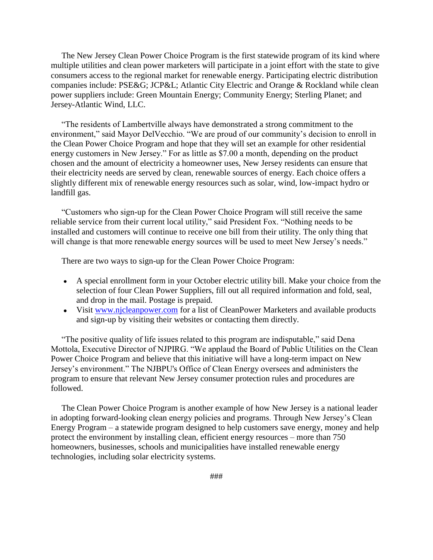The New Jersey Clean Power Choice Program is the first statewide program of its kind where multiple utilities and clean power marketers will participate in a joint effort with the state to give consumers access to the regional market for renewable energy. Participating electric distribution companies include: PSE&G; JCP&L; Atlantic City Electric and Orange & Rockland while clean power suppliers include: Green Mountain Energy; Community Energy; Sterling Planet; and Jersey-Atlantic Wind, LLC.

 "The residents of Lambertville always have demonstrated a strong commitment to the environment," said Mayor DelVecchio. "We are proud of our community's decision to enroll in the Clean Power Choice Program and hope that they will set an example for other residential energy customers in New Jersey." For as little as \$7.00 a month, depending on the product chosen and the amount of electricity a homeowner uses, New Jersey residents can ensure that their electricity needs are served by clean, renewable sources of energy. Each choice offers a slightly different mix of renewable energy resources such as solar, wind, low-impact hydro or landfill gas.

 "Customers who sign-up for the Clean Power Choice Program will still receive the same reliable service from their current local utility," said President Fox. "Nothing needs to be installed and customers will continue to receive one bill from their utility. The only thing that will change is that more renewable energy sources will be used to meet New Jersey's needs."

There are two ways to sign-up for the Clean Power Choice Program:

- A special enrollment form in your October electric utility bill. Make your choice from the selection of four Clean Power Suppliers, fill out all required information and fold, seal, and drop in the mail. Postage is prepaid.
- Visit [www.njcleanpower.com](http://www.njcleanpower.com/) for a list of CleanPower Marketers and available products and sign-up by visiting their websites or contacting them directly.

 "The positive quality of life issues related to this program are indisputable," said Dena Mottola, Executive Director of NJPIRG. "We applaud the Board of Public Utilities on the Clean Power Choice Program and believe that this initiative will have a long-term impact on New Jersey's environment." The NJBPU's Office of Clean Energy oversees and administers the program to ensure that relevant New Jersey consumer protection rules and procedures are followed.

 The Clean Power Choice Program is another example of how New Jersey is a national leader in adopting forward-looking clean energy policies and programs. Through New Jersey's Clean Energy Program – a statewide program designed to help customers save energy, money and help protect the environment by installing clean, efficient energy resources – more than 750 homeowners, businesses, schools and municipalities have installed renewable energy technologies, including solar electricity systems.